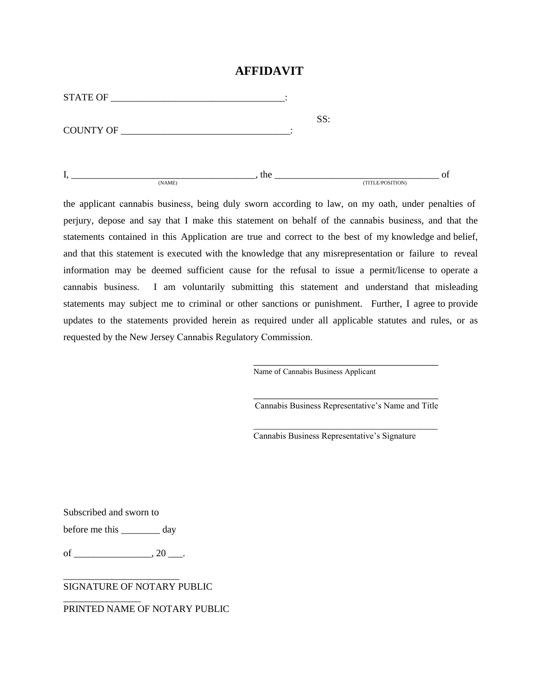## **AFFIDAVIT**

| <b>STATE OF</b>  |        |     |     |                  |    |
|------------------|--------|-----|-----|------------------|----|
| <b>COUNTY OF</b> |        |     | SS: |                  |    |
|                  | (NAME) | the |     | (TITLE/POSITION) | of |

the applicant cannabis business, being duly sworn according to law, on my oath, under penalties of perjury, depose and say that I make this statement on behalf of the cannabis business, and that the statements contained in this Application are true and correct to the best of my knowledge and belief, and that this statement is executed with the knowledge that any misrepresentation or failure to reveal information may be deemed sufficient cause for the refusal to issue a permit/license to operate a cannabis business. I am voluntarily submitting this statement and understand that misleading statements may subject me to criminal or other sanctions or punishment. Further, I agree to provide updates to the statements provided herein as required under all applicable statutes and rules, or as requested by the New Jersey Cannabis Regulatory Commission.

Name of Cannabis Business Applicant

\_\_\_\_\_\_\_\_\_\_\_\_\_\_\_\_\_\_\_\_\_\_\_\_\_\_\_\_\_\_\_\_\_\_\_ Cannabis Business Representative's Name and Title

\_\_\_\_\_\_\_\_\_\_\_\_\_\_\_\_\_\_\_\_\_\_\_\_\_\_\_\_\_\_\_\_\_\_\_\_\_\_\_\_\_\_

\_\_\_\_\_\_\_\_\_\_\_\_\_\_\_\_\_\_\_\_\_\_\_\_\_\_\_\_\_\_\_\_\_\_\_

Cannabis Business Representative's Signature

Subscribed and sworn to

before me this \_\_\_\_\_\_\_\_ day

of \_\_\_\_\_\_\_\_\_\_\_\_\_\_\_\_\_\_\_\_\_, 20 \_\_\_\_.

\_\_\_\_\_\_\_\_\_\_\_\_\_\_\_\_\_\_\_\_\_\_\_\_

\_\_\_\_\_\_\_\_\_\_\_\_\_\_\_\_

SIGNATURE OF NOTARY PUBLIC

## PRINTED NAME OF NOTARY PUBLIC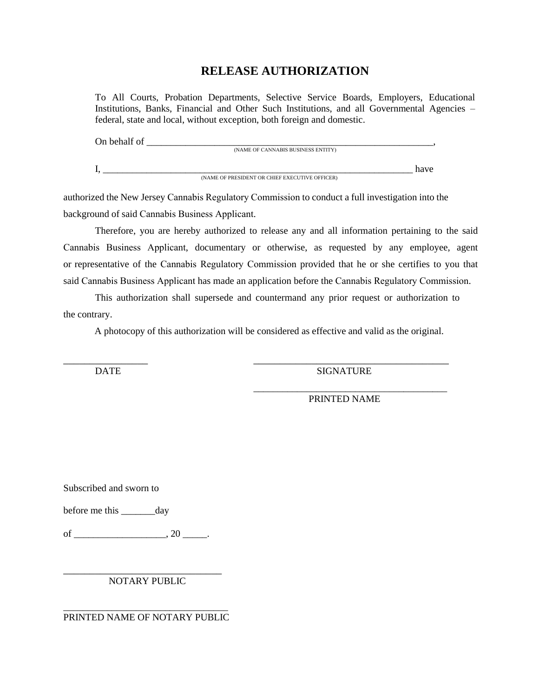## **RELEASE AUTHORIZATION**

To All Courts, Probation Departments, Selective Service Boards, Employers, Educational Institutions, Banks, Financial and Other Such Institutions, and all Governmental Agencies – federal, state and local, without exception, both foreign and domestic.

| On behalf of |                                                |      |
|--------------|------------------------------------------------|------|
|              | (NAME OF CANNABIS BUSINESS ENTITY)             |      |
|              |                                                | have |
|              | (NAME OF PRESIDENT OR CHIEF EXECUTIVE OFFICER) |      |

authorized the New Jersey Cannabis Regulatory Commission to conduct a full investigation into the background of said Cannabis Business Applicant.

Therefore, you are hereby authorized to release any and all information pertaining to the said Cannabis Business Applicant, documentary or otherwise, as requested by any employee, agent or representative of the Cannabis Regulatory Commission provided that he or she certifies to you that said Cannabis Business Applicant has made an application before the Cannabis Regulatory Commission.

This authorization shall supersede and countermand any prior request or authorization to the contrary.

 $\overline{\phantom{a}}$  , and the contract of the contract of the contract of the contract of the contract of the contract of the contract of the contract of the contract of the contract of the contract of the contract of the contrac

A photocopy of this authorization will be considered as effective and valid as the original.

DATE SIGNATURE

PRINTED NAME

\_\_\_\_\_\_\_\_\_\_\_\_\_\_\_\_\_\_\_\_\_\_\_\_\_\_\_\_\_\_\_\_\_\_\_\_\_\_\_\_

Subscribed and sworn to

before me this day

of \_\_\_\_\_\_\_\_\_\_\_\_\_\_\_\_\_\_\_, 20 \_\_\_\_\_.

\_\_\_\_\_\_\_\_\_\_\_\_\_\_\_\_\_\_\_\_\_\_\_\_\_\_\_\_\_\_ NOTARY PUBLIC

\_\_\_\_\_\_\_\_\_\_\_\_\_\_\_\_\_\_\_\_\_\_\_\_\_\_\_\_\_\_\_\_\_\_ PRINTED NAME OF NOTARY PUBLIC